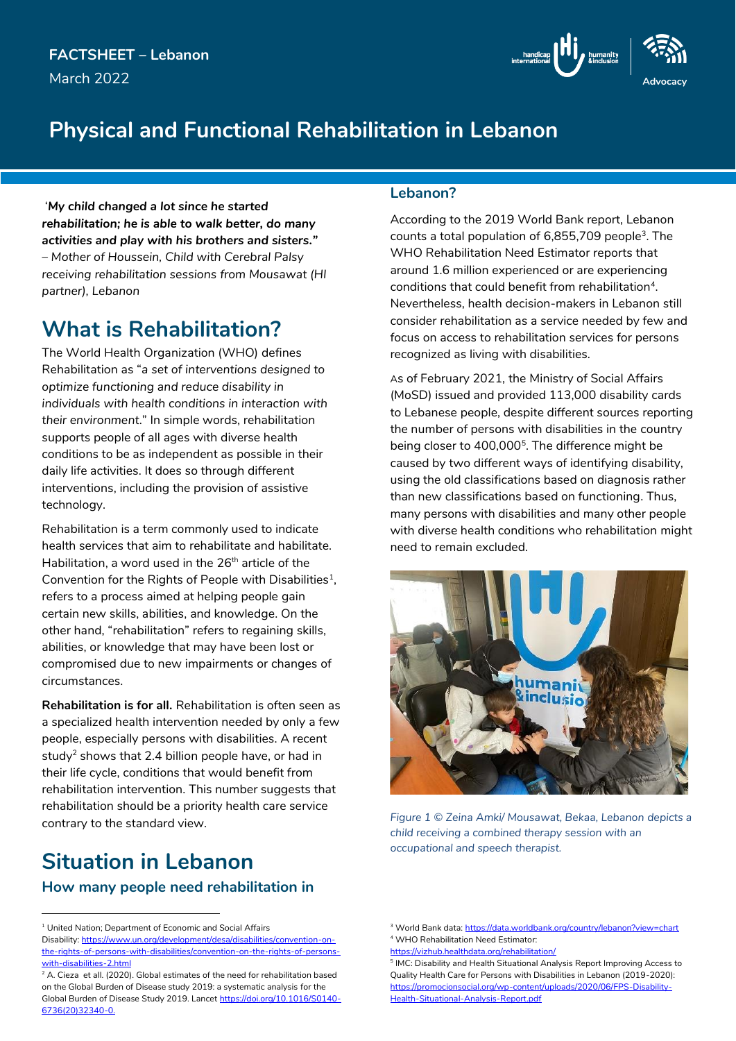

## **Physical and Functional Rehabilitation in Lebanon**

'*My child changed a lot since he started rehabilitation; he is able to walk better, do many activities and play with his brothers and sisters." – Mother of Houssein, Child with Cerebral Palsy receiving rehabilitation sessions from Mousawat (HI partner), Lebanon*

### **What is Rehabilitation?**

The World Health Organization (WHO) defines Rehabilitation as "*a set of interventions designed to optimize functioning and reduce disability in individuals with health conditions in interaction with their environment*." In simple words, rehabilitation supports people of all ages with diverse health conditions to be as independent as possible in their daily life activities. It does so through different interventions, including the provision of assistive technology.

Rehabilitation is a term commonly used to indicate health services that aim to rehabilitate and habilitate. Habilitation, a word used in the 26<sup>th</sup> article of the Convention for the Rights of People with Disabilities<sup>1</sup>, refers to a process aimed at helping people gain certain new skills, abilities, and knowledge. On the other hand, "rehabilitation" refers to regaining skills, abilities, or knowledge that may have been lost or compromised due to new impairments or changes of circumstances.

**Rehabilitation is for all.** Rehabilitation is often seen as a specialized health intervention needed by only a few people, especially persons with disabilities. A recent study<sup>2</sup> shows that 2.4 billion people have, or had in their life cycle, conditions that would benefit from rehabilitation intervention. This number suggests that rehabilitation should be a priority health care service contrary to the standard view.

# **Situation in Lebanon**

-

### **How many people need rehabilitation in**

#### **Lebanon?**

According to the 2019 World Bank report, Lebanon counts a total population of 6,855,709 people<sup>3</sup>. The WHO Rehabilitation Need Estimator reports that around 1.6 million experienced or are experiencing conditions that could benefit from rehabilitation<sup>4</sup>. Nevertheless, health decision-makers in Lebanon still consider rehabilitation as a service needed by few and focus on access to rehabilitation services for persons recognized as living with disabilities.

As of February 2021, the Ministry of Social Affairs (MoSD) issued and provided 113,000 disability cards to Lebanese people, despite different sources reporting the number of persons with disabilities in the country being closer to 400,000<sup>5</sup>. The difference might be caused by two different ways of identifying disability, using the old classifications based on diagnosis rather than new classifications based on functioning. Thus, many persons with disabilities and many other people with diverse health conditions who rehabilitation might need to remain excluded.



*Figure 1 © Zeina Amki/ Mousawat, Bekaa, Lebanon depicts a child receiving a combined therapy session with an occupational and speech therapist.*

5 IMC: Disability and Health Situational Analysis Report Improving Access to Quality Health Care for Persons with Disabilities in Lebanon (2019-2020): [https://promocionsocial.org/wp-content/uploads/2020/06/FPS-Disability-](https://promocionsocial.org/wp-content/uploads/2020/06/FPS-Disability-Health-Situational-Analysis-Report.pdf)[Health-Situational-Analysis-Report.pdf](https://promocionsocial.org/wp-content/uploads/2020/06/FPS-Disability-Health-Situational-Analysis-Report.pdf)

<sup>&</sup>lt;sup>1</sup> United Nation: Department of Economic and Social Affairs Disability[: https://www.un.org/development/desa/disabilities/convention-on](https://www.un.org/development/desa/disabilities/convention-on-the-rights-of-persons-with-disabilities/convention-on-the-rights-of-persons-with-disabilities-2.html)[the-rights-of-persons-with-disabilities/convention-on-the-rights-of-persons](https://www.un.org/development/desa/disabilities/convention-on-the-rights-of-persons-with-disabilities/convention-on-the-rights-of-persons-with-disabilities-2.html)[with-disabilities-2.html](https://www.un.org/development/desa/disabilities/convention-on-the-rights-of-persons-with-disabilities/convention-on-the-rights-of-persons-with-disabilities-2.html)

<sup>&</sup>lt;sup>2</sup> A. Cieza et all. (2020). Global estimates of the need for rehabilitation based on the Global Burden of Disease study 2019: a systematic analysis for the Global Burden of Disease Study 2019. Lancet https://doi.org/10.1016/S0140- 6736(20)32340-0.

<sup>&</sup>lt;sup>3</sup> World Bank data[: https://data.worldbank.org/country/lebanon?view=chart](https://data.worldbank.org/country/lebanon?view=chart) <sup>4</sup> WHO Rehabilitation Need Estimator:

<https://vizhub.healthdata.org/rehabilitation/>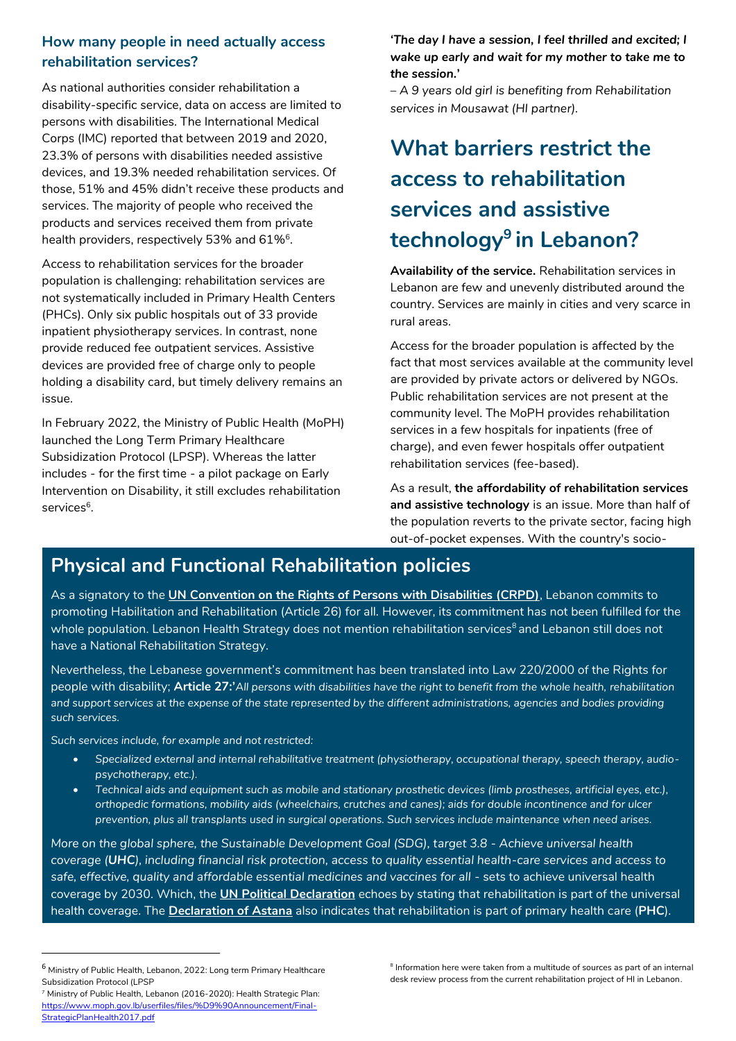### **How many people in need actually access rehabilitation services?**

As national authorities consider rehabilitation a disability-specific service, data on access are limited to persons with disabilities. The International Medical Corps (IMC) reported that between 2019 and 2020, 23.3% of persons with disabilities needed assistive devices, and 19.3% needed rehabilitation services. Of those, 51% and 45% didn't receive these products and services. The majority of people who received the products and services received them from private health providers, respectively 53% and  $61\%$   $^{\circ}$ .

Access to rehabilitation services for the broader population is challenging: rehabilitation services are not systematically included in Primary Health Centers (PHCs). Only six public hospitals out of 33 provide inpatient physiotherapy services. In contrast, none provide reduced fee outpatient services. Assistive devices are provided free of charge only to people holding a disability card, but timely delivery remains an issue.

In February 2022, the Ministry of Public Health (MoPH) launched the Long Term Primary Healthcare Subsidization Protocol (LPSP). Whereas the latter includes - for the first time - a pilot package on Early Intervention on Disability, it still excludes rehabilitation services<sup>6</sup>.

*'The day I have a session, I feel thrilled and excited; I wake up early and wait for my mother to take me to the session.***'**

*– A 9 years old girl is benefiting from Rehabilitation services in Mousawat (HI partner).*

# **What barriers restrict the access to rehabilitation services and assistive technology<sup>9</sup> in Lebanon?**

**Availability of the service.** Rehabilitation services in Lebanon are few and unevenly distributed around the country. Services are mainly in cities and very scarce in rural areas.

Access for the broader population is affected by the fact that most services available at the community level are provided by private actors or delivered by NGOs. Public rehabilitation services are not present at the community level. The MoPH provides rehabilitation services in a few hospitals for inpatients (free of charge), and even fewer hospitals offer outpatient rehabilitation services (fee-based).

As a result, **the affordability of rehabilitation services and assistive technology** is an issue. More than half of the population reverts to the private sector, facing high out-of-pocket expenses. With the country's socio-

#### economic situation worsening, the cost per session increased this last year. One year ago, a physiotherapy **Physical and Functional Rehabilitation policies**

As a signatory to the **[UN Convention on the Rights of Persons with Disabilities \(CRPD\)](https://www.un.org/development/desa/disabilities/convention-on-the-rights-of-persons-with-disabilities/convention-on-the-rights-of-persons-with-disabilities-2.html)**, Lebanon commits to promoting Habilitation and Rehabilitation (Article 26) for all. However, its commitment has not been fulfilled for the whole population. Lebanon Health Strategy does not mention rehabilitation services<sup>8</sup> and Lebanon still does not have a National Rehabilitation Strategy.

Nevertheless, the Lebanese government's commitment has been translated into Law 220/2000 of the Rights for people with disability; **Article 27:'***All persons with disabilities have the right to benefit from the whole health, rehabilitation*  and support services at the expense of the state represented by the different administrations, agencies and bodies providing *such services.*

*Such services include, for example and not restricted:*

- *Specialized external and internal rehabilitative treatment (physiotherapy, occupational therapy, speech therapy, audiopsychotherapy, etc.).*
- Technical aids and equipment such as mobile and stationary prosthetic devices (limb prostheses, artificial eyes, etc.), *orthopedic formations, mobility aids (wheelchairs, crutches and canes); aids for double incontinence and for ulcer prevention, plus all transplants used in surgical operations. Such services include maintenance when need arises.*

*More on the global sphere, the Sustainable Development Goal (SDG), target 3.8 - Achieve universal health coverage (UHC), including financial risk protection, access to quality essential health-care services and access to safe, effective, quality and affordable essential medicines and vaccines for all -* sets to achieve universal health coverage by 2030. Which, the **[UN Political Declaration](https://www.un.org/pga/73/wp-content/uploads/sites/53/2019/07/FINAL-draft-UHC-Political-Declaration.pdf)** echoes by stating that rehabilitation is part of the universal health coverage. The **[Declaration of Astana](https://www.who.int/docs/default-source/primary-health/declaration/gcphc-declaration.pdf)** also indicates that rehabilitation is part of primary health care (**PHC**).

-

<sup>8</sup> Information here were taken from a multitude of sources as part of an internal desk review process from the current rehabilitation project of HI in Lebanon.

<sup>6</sup> Ministry of Public Health, Lebanon, 2022: Long term Primary Healthcare Subsidization Protocol (LPSP

<sup>&</sup>lt;sup>7</sup> Ministry of Public Health, Lebanon (2016-2020): Health Strategic Plan: [https://www.moph.gov.lb/userfiles/files/%D9%90Announcement/Final-](https://www.moph.gov.lb/userfiles/files/%D9%90Announcement/Final-StrategicPlanHealth2017.pdf)[StrategicPlanHealth2017.pdf](https://www.moph.gov.lb/userfiles/files/%D9%90Announcement/Final-StrategicPlanHealth2017.pdf)